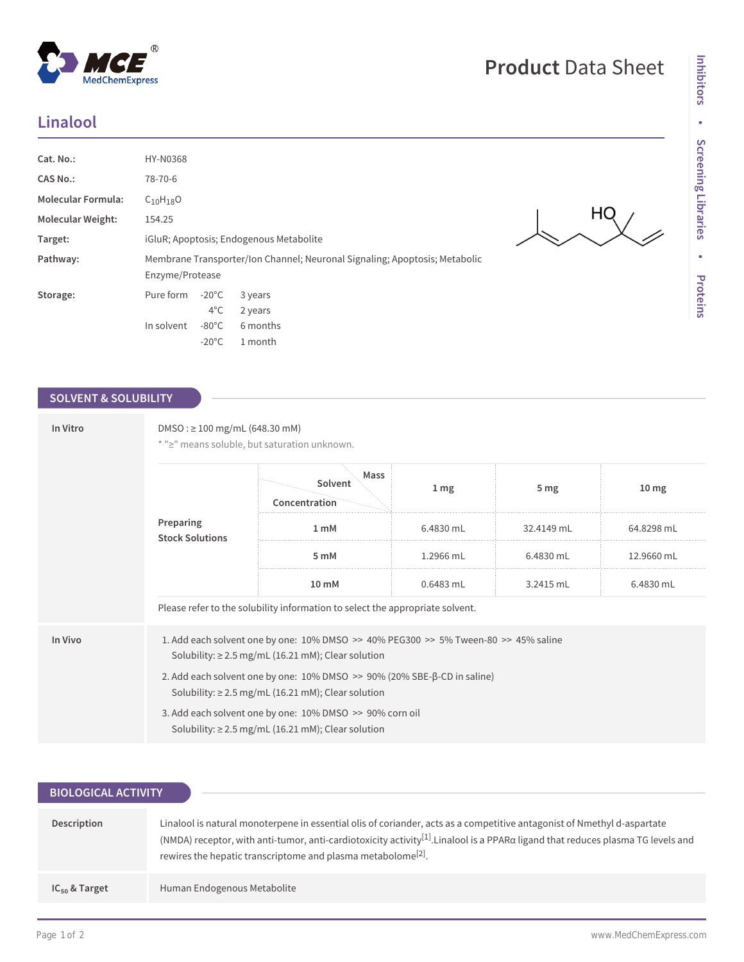## **Linalool**

| Cat. No.:                 | HY-N0368                                                                                      |  |
|---------------------------|-----------------------------------------------------------------------------------------------|--|
| <b>CAS No.:</b>           | 78-70-6                                                                                       |  |
| <b>Molecular Formula:</b> | $C_{10}H_{18}O$                                                                               |  |
| <b>Molecular Weight:</b>  | 154.25                                                                                        |  |
| Target:                   | iGluR; Apoptosis; Endogenous Metabolite                                                       |  |
| Pathway:                  | Membrane Transporter/Ion Channel; Neuronal Signaling; Apoptosis; Metabolic<br>Enzyme/Protease |  |
| Storage:                  | $-20^{\circ}$ C<br>Pure form<br>3 years<br>$4^{\circ}$ C<br>2 years                           |  |
|                           | $-80^{\circ}$ C<br>6 months<br>In solvent<br>$-20^{\circ}$ C<br>1 month                       |  |

## **SOLVENT & SOLUBILITY**

| In Vitro | $DMSO: \geq 100$ mg/mL (648.30 mM)<br>* ">" means soluble, but saturation unknown.                                                                |                                  |                 |                 |                  |  |
|----------|---------------------------------------------------------------------------------------------------------------------------------------------------|----------------------------------|-----------------|-----------------|------------------|--|
|          | Preparing<br><b>Stock Solutions</b>                                                                                                               | Mass<br>Solvent<br>Concentration | 1 <sub>mg</sub> | 5 <sub>mg</sub> | 10 <sub>mg</sub> |  |
|          |                                                                                                                                                   | 1 <sub>mM</sub>                  | 6.4830 mL       | 32.4149 mL      | 64.8298 mL       |  |
|          |                                                                                                                                                   | 5 mM                             | 1.2966 mL       | 6.4830 mL       | 12.9660 mL       |  |
|          |                                                                                                                                                   | 10 mM                            | 0.6483 mL       | 3.2415 mL       | 6.4830 mL        |  |
|          | Please refer to the solubility information to select the appropriate solvent.                                                                     |                                  |                 |                 |                  |  |
| In Vivo  | 1. Add each solvent one by one: 10% DMSO >> 40% PEG300 >> 5% Tween-80 >> 45% saline<br>Solubility: $\geq$ 2.5 mg/mL (16.21 mM); Clear solution    |                                  |                 |                 |                  |  |
|          | 2. Add each solvent one by one: $10\%$ DMSO $\gg$ 90% (20% SBE- $\beta$ -CD in saline)<br>Solubility: $\geq$ 2.5 mg/mL (16.21 mM); Clear solution |                                  |                 |                 |                  |  |
|          | 3. Add each solvent one by one: 10% DMSO >> 90% corn oil<br>Solubility: $\geq$ 2.5 mg/mL (16.21 mM); Clear solution                               |                                  |                 |                 |                  |  |

| <b>BIOLOGICAL ACTIVITY</b> |                                                                                                                                                                                                                                                                                                                                                     |  |  |  |
|----------------------------|-----------------------------------------------------------------------------------------------------------------------------------------------------------------------------------------------------------------------------------------------------------------------------------------------------------------------------------------------------|--|--|--|
|                            |                                                                                                                                                                                                                                                                                                                                                     |  |  |  |
| Description                | Linalool is natural monoterpene in essential olis of coriander, acts as a competitive antagonist of Nmethyl d-aspartate<br>(NMDA) receptor, with anti-tumor, anti-cardiotoxicity activity <sup>[1]</sup> . Linalool is a PPARa ligand that reduces plasma TG levels and<br>rewires the hepatic transcriptome and plasma metabolome <sup>[2]</sup> . |  |  |  |
| $IC_{50}$ & Target         | Human Endogenous Metabolite                                                                                                                                                                                                                                                                                                                         |  |  |  |